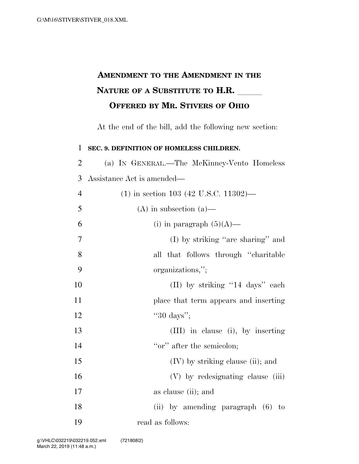## **AMENDMENT TO THE AMENDMENT IN THE NATURE OF A SUBSTITUTE TO H.R. OFFERED BY MR. STIVERS OF OHIO**

At the end of the bill, add the following new section:

 **SEC. 9. DEFINITION OF HOMELESS CHILDREN.**  (a) IN GENERAL.—The McKinney-Vento Homeless Assistance Act is amended— (1) in section 103 (42 U.S.C. 11302)— 5 (A) in subsection (a)— 6 (i) in paragraph  $(5)(A)$ — (I) by striking ''are sharing'' and all that follows through ''charitable organizations,''; 10 (II) by striking "14 days" each place that term appears and inserting 12 ''30 days''; (III) in clause (i), by inserting 14 ''or'' after the semicolon; (IV) by striking clause (ii); and 16 (V) by redesignating clause (iii) as clause (ii); and (ii) by amending paragraph (6) to read as follows: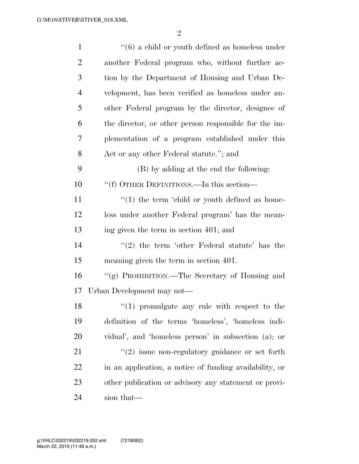| $\mathbf{1}$   | $\cdot\cdot$ (6) a child or youth defined as homeless under |
|----------------|-------------------------------------------------------------|
| $\overline{2}$ | another Federal program who, without further ac-            |
| 3              | tion by the Department of Housing and Urban De-             |
| $\overline{4}$ | velopment, has been verified as homeless under an-          |
| 5              | other Federal program by the director, designee of          |
| 6              | the director, or other person responsible for the im-       |
| 7              | plementation of a program established under this            |
| 8              | Act or any other Federal statute."; and                     |
| 9              | (B) by adding at the end the following:                     |
| 10             | "(f) OTHER DEFINITIONS.—In this section—                    |
| 11             | $\lq(1)$ the term 'child or youth defined as home-          |
| 12             | less under another Federal program' has the mean-           |
| 13             | ing given the term in section 401; and                      |
| 14             | $\lq(2)$ the term 'other Federal statute' has the           |
| 15             | meaning given the term in section 401.                      |
| 16             | "(g) PROHIBITION.—The Secretary of Housing and              |
| 17             | Urban Development may not—                                  |
| 18             | $\lq(1)$ promulgate any rule with respect to the            |
| 19             | definition of the terms 'homeless', 'homeless indi-         |
| 20             | vidual', and 'homeless person' in subsection (a); or        |
| 21             | $"(2)$ issue non-regulatory guidance or set forth           |
| 22             | in an application, a notice of funding availability, or     |
| 23             | other publication or advisory any statement or provi-       |
| 24             | sion that—                                                  |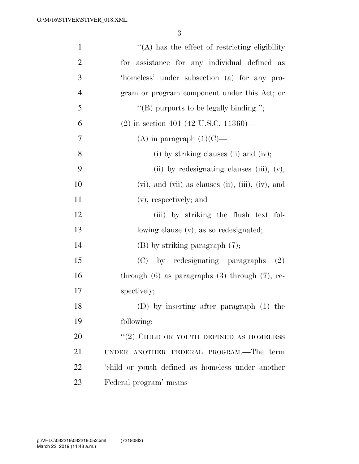| $\mathbf{1}$   | $\lq\lq$ has the effect of restricting eligibility              |
|----------------|-----------------------------------------------------------------|
| $\overline{2}$ | for assistance for any individual defined as                    |
| $\mathfrak{Z}$ | 'homeless' under subsection (a) for any pro-                    |
| $\overline{4}$ | gram or program component under this Act; or                    |
| 5              | "(B) purports to be legally binding.";                          |
| 6              | $(2)$ in section 401 (42 U.S.C. 11360)—                         |
| 7              | (A) in paragraph $(1)(C)$ —                                     |
| 8              | (i) by striking clauses (ii) and (iv);                          |
| 9              | (ii) by redesignating clauses (iii), $(v)$ ,                    |
| 10             | $(vi)$ , and $(vii)$ as clauses $(ii)$ , $(iii)$ , $(iv)$ , and |
| 11             | (v), respectively; and                                          |
| 12             | (iii) by striking the flush text fol-                           |
| 13             | lowing clause (v), as so redesignated;                          |
| 14             | $(B)$ by striking paragraph $(7)$ ;                             |
| 15             | by redesignating paragraphs<br>(C)<br>(2)                       |
| 16             | through $(6)$ as paragraphs $(3)$ through $(7)$ , re-           |
| 17             | spectively;                                                     |
| 18             | $(D)$ by inserting after paragraph $(1)$ the                    |
| 19             | following:                                                      |
| 20             | $\lq(2)$ CHILD OR YOUTH DEFINED AS HOMELESS                     |
| 21             | UNDER ANOTHER FEDERAL PROGRAM.—The term                         |
| 22             | 'child or youth defined as homeless under another               |
| 23             | Federal program' means-                                         |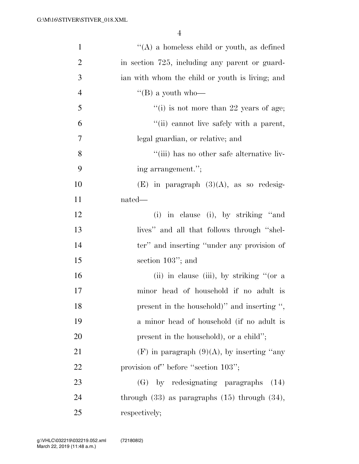| $\mathbf{1}$   | $\lq\lq(A)$ a homeless child or youth, as defined    |
|----------------|------------------------------------------------------|
| $\overline{2}$ | in section 725, including any parent or guard-       |
| 3              | ian with whom the child or youth is living; and      |
| $\overline{4}$ | "(B) a youth who-                                    |
| 5              | $f'(i)$ is not more than 22 years of age;            |
| 6              | "(ii) cannot live safely with a parent,              |
| 7              | legal guardian, or relative; and                     |
| 8              | "(iii) has no other safe alternative liv-            |
| 9              | ing arrangement.";                                   |
| 10             | $(E)$ in paragraph $(3)(A)$ , as so redesig-         |
| 11             | nated—                                               |
| 12             | (i) in clause (i), by striking "and                  |
| 13             | lives" and all that follows through "shel-           |
| 14             | ter" and inserting "under any provision of           |
| 15             | section $103$ "; and                                 |
| 16             | (ii) in clause (iii), by striking "(or a             |
| 17             | minor head of household if no adult is               |
| 18             | present in the household)" and inserting ",          |
| 19             | a minor head of household (if no adult is            |
| 20             | present in the household), or a child";              |
| 21             | $(F)$ in paragraph $(9)(A)$ , by inserting "any      |
| 22             | provision of" before "section 103";                  |
| 23             | (G) by redesignating paragraphs<br>(14)              |
| 24             | through $(33)$ as paragraphs $(15)$ through $(34)$ , |
| 25             | respectively;                                        |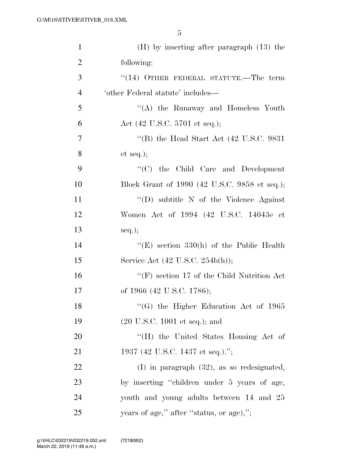| $\mathbf{1}$   | $(H)$ by inserting after paragraph $(13)$ the       |
|----------------|-----------------------------------------------------|
| $\overline{2}$ | following:                                          |
| 3              | $(14)$ OTHER FEDERAL STATUTE.—The term              |
| $\overline{4}$ | 'other Federal statute' includes—                   |
| 5              | "(A) the Runaway and Homeless Youth                 |
| 6              | Act (42 U.S.C. 5701 et seq.);                       |
| 7              | "(B) the Head Start Act $(42 \text{ U.S.C. } 9831)$ |
| 8              | et seq.);                                           |
| 9              | $\lq\lq$ (C) the Child Care and Development         |
| 10             | Block Grant of 1990 (42 U.S.C. 9858 et seq.);       |
| 11             | "(D) subtitle $N$ of the Violence Against           |
| 12             | Women Act of 1994 (42 U.S.C. 14043e et              |
| 13             | $seq.$ ;                                            |
| 14             | "(E) section $330(h)$ of the Public Health          |
| 15             | Service Act (42 U.S.C. 254b(h));                    |
| 16             | "(F) section 17 of the Child Nutrition Act          |
| 17             | of 1966 (42 U.S.C. 1786);                           |
| 18             | $\cdot$ (G) the Higher Education Act of 1965        |
| 19             | $(20 \text{ U.S.C. } 1001 \text{ et seq.});$ and    |
| 20             | "(H) the United States Housing Act of               |
| 21             | 1937 (42 U.S.C. 1437 et seq.).";                    |
| 22             | $(I)$ in paragraph $(32)$ , as so redesignated,     |
| 23             | by inserting "children under 5 years of age,        |
| 24             | youth and young adults between 14 and 25            |
| 25             | years of age," after "status, or age),";            |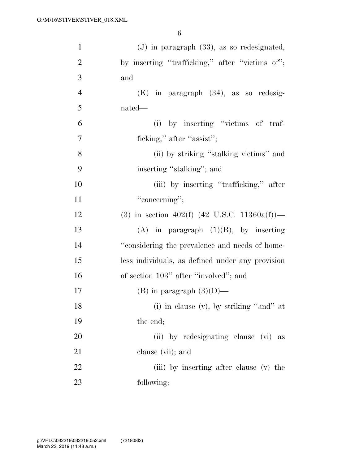| $\mathbf{1}$   | $(J)$ in paragraph $(33)$ , as so redesignated,  |
|----------------|--------------------------------------------------|
| $\overline{2}$ | by inserting "trafficking," after "victims of";  |
| 3              | and                                              |
| $\overline{4}$ | $(K)$ in paragraph $(34)$ , as so redesig-       |
| 5              | nated—                                           |
| 6              | (i) by inserting "victims of traf-               |
| 7              | ficking," after "assist";                        |
| 8              | (ii) by striking "stalking victims" and          |
| 9              | inserting "stalking"; and                        |
| 10             | (iii) by inserting "trafficking," after          |
| 11             | "concerning";                                    |
| 12             | (3) in section 402(f) (42 U.S.C. 11360a(f))—     |
| 13             | $(A)$ in paragraph $(1)(B)$ , by inserting       |
| 14             | "considering the prevalence and needs of home-   |
| 15             | less individuals, as defined under any provision |
| 16             | of section 103" after "involved"; and            |
| 17             | (B) in paragraph $(3)(D)$ —                      |
| 18             | (i) in clause (v), by striking "and" at          |
| 19             | the end;                                         |
| 20             | (ii) by redesignating clause (vi) as             |
| 21             | clause (vii); and                                |
| 22             | (iii) by inserting after clause (v) the          |
| 23             | following:                                       |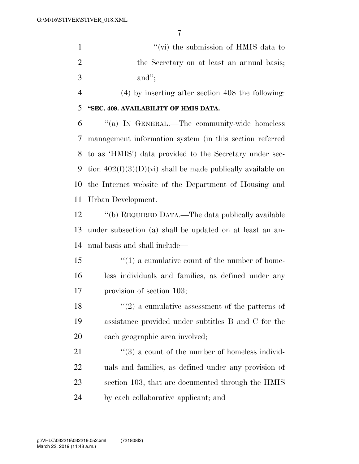''(vi) the submission of HMIS data to 2 the Secretary on at least an annual basis; and'';

(4) by inserting after section 408 the following:

**''SEC. 409. AVAILABILITY OF HMIS DATA.** 

 ''(a) IN GENERAL.—The community-wide homeless management information system (in this section referred to as 'HMIS') data provided to the Secretary under sec-9 tion  $402(f)(3)(D)(vi)$  shall be made publically available on the Internet website of the Department of Housing and Urban Development.

 ''(b) REQUIRED DATA.—The data publically available under subsection (a) shall be updated on at least an an-nual basis and shall include—

15  $\frac{1}{2}$  (1) a cumulative count of the number of home- less individuals and families, as defined under any provision of section 103;

18  $\langle \cdot (2) \rangle$  a cumulative assessment of the patterns of assistance provided under subtitles B and C for the each geographic area involved;

21 ''(3) a count of the number of homeless individ- uals and families, as defined under any provision of section 103, that are documented through the HMIS by each collaborative applicant; and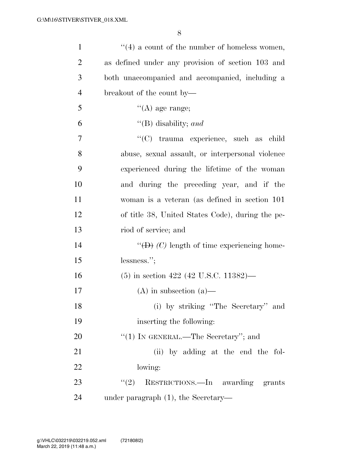| $\mathbf{1}$   | $\lq(4)$ a count of the number of homeless women,               |
|----------------|-----------------------------------------------------------------|
| $\overline{2}$ | as defined under any provision of section 103 and               |
| 3              | both unaccompanied and accompanied, including a                 |
| $\overline{4}$ | breakout of the count by—                                       |
| 5              | $\lq\lq(A)$ age range;                                          |
| 6              | "(B) disability; and                                            |
| 7              | "(C) trauma experience, such as child                           |
| 8              | abuse, sexual assault, or interpersonal violence                |
| 9              | experienced during the lifetime of the woman                    |
| 10             | and during the preceding year, and if the                       |
| 11             | woman is a veteran (as defined in section 101)                  |
| 12             | of title 38, United States Code), during the pe-                |
| 13             | riod of service; and                                            |
| 14             | " $\left(\text{D}\right)$ (C) length of time experiencing home- |
| 15             | lessness.";                                                     |
| 16             | $(5)$ in section 422 (42 U.S.C. 11382)—                         |
| 17             | $(A)$ in subsection $(a)$ —                                     |
| 18             | (i) by striking "The Secretary" and                             |
| 19             | inserting the following:                                        |
| 20             | " $(1)$ IN GENERAL.—The Secretary"; and                         |
| 21             | (ii) by adding at the end the fol-                              |
| 22             | lowing:                                                         |
| 23             | RESTRICTIONS.—In awarding grants<br>(2)                         |
| 24             | under paragraph $(1)$ , the Secretary-                          |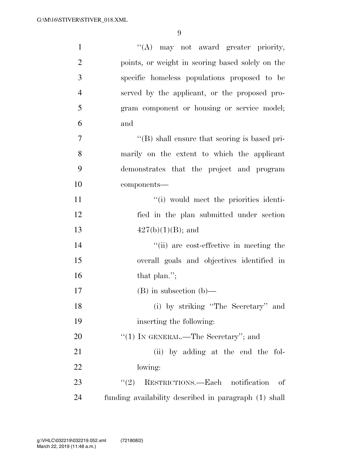| $\mathbf{1}$   | "(A) may not award greater priority,                  |
|----------------|-------------------------------------------------------|
| $\overline{2}$ | points, or weight in scoring based solely on the      |
| 3              | specific homeless populations proposed to be          |
| $\overline{4}$ | served by the applicant, or the proposed pro-         |
| 5              | gram component or housing or service model;           |
| 6              | and                                                   |
| 7              | $\lq\lq (B)$ shall ensure that scoring is based pri-  |
| 8              | marily on the extent to which the applicant           |
| 9              | demonstrates that the project and program             |
| 10             | components-                                           |
| 11             | "(i) would meet the priorities identi-                |
| 12             | fied in the plan submitted under section              |
| 13             | $427(b)(1)(B)$ ; and                                  |
| 14             | "(ii) are cost-effective in meeting the               |
| 15             | overall goals and objectives identified in            |
| 16             | that plan.";                                          |
| 17             | $(B)$ in subsection $(b)$ —                           |
| 18             | (i) by striking "The Secretary" and                   |
| 19             | inserting the following:                              |
| <b>20</b>      | " $(1)$ IN GENERAL.—The Secretary"; and               |
| 21             | (ii) by adding at the end the fol-                    |
| 22             | lowing:                                               |
| 23             | RESTRICTIONS.—Each notification<br>(2)<br>of          |
| 24             | funding availability described in paragraph (1) shall |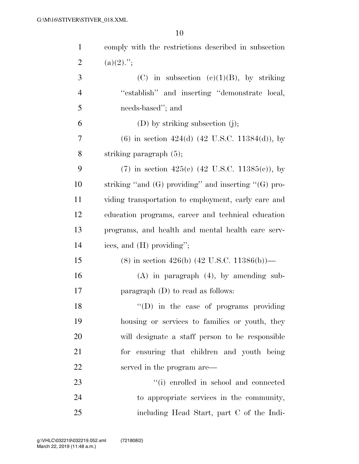| $\mathbf{1}$   | comply with the restrictions described in subsection      |
|----------------|-----------------------------------------------------------|
| $\overline{2}$ | $(a)(2)$ .";                                              |
| 3              | (C) in subsection (e)(1)(B), by striking                  |
| $\overline{4}$ | "establish" and inserting "demonstrate local,             |
| 5              | needs-based"; and                                         |
| 6              | $(D)$ by striking subsection $(j)$ ;                      |
| 7              | $(6)$ in section 424(d) (42 U.S.C. 11384(d)), by          |
| 8              | striking paragraph $(5)$ ;                                |
| 9              | (7) in section 425(c) (42 U.S.C. 11385(c)), by            |
| 10             | striking "and $(G)$ providing" and inserting " $(G)$ pro- |
| 11             | viding transportation to employment, early care and       |
| 12             | education programs, career and technical education        |
| 13             | programs, and health and mental health care serv-         |
| 14             | ices, and (H) providing";                                 |
| 15             | $(8)$ in section 426(b) (42 U.S.C. 11386(b))—             |
| 16             | $(A)$ in paragraph $(4)$ , by amending sub-               |
| 17             | paragraph $(D)$ to read as follows:                       |
| 18             | $\lq\lq$ (D) in the case of programs providing            |
| 19             | housing or services to families or youth, they            |
| 20             | will designate a staff person to be responsible           |
| 21             | for ensuring that children and youth being                |
| 22             | served in the program are—                                |
| 23             | "(i) enrolled in school and connected                     |
| 24             | to appropriate services in the community,                 |
| 25             | including Head Start, part C of the Indi-                 |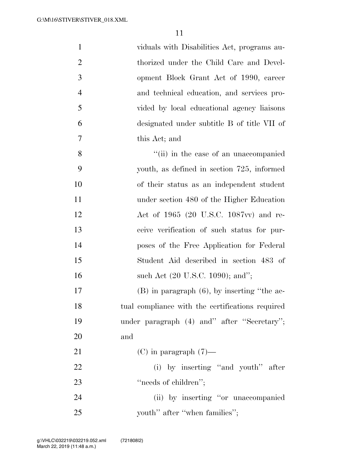| $\mathbf{1}$   | viduals with Disabilities Act, programs au-      |
|----------------|--------------------------------------------------|
| $\overline{2}$ | thorized under the Child Care and Devel-         |
| 3              | opment Block Grant Act of 1990, career           |
| $\overline{4}$ | and technical education, and services pro-       |
| 5              | vided by local educational agency liaisons       |
| 6              | designated under subtitle B of title VII of      |
| $\overline{7}$ | this Act; and                                    |
| 8              | "(ii) in the case of an unaccompanied            |
| 9              | youth, as defined in section 725, informed       |
| 10             | of their status as an independent student        |
| 11             | under section 480 of the Higher Education        |
| 12             | Act of 1965 (20 U.S.C. 1087vv) and re-           |
| 13             | ceive verification of such status for pur-       |
| 14             | poses of the Free Application for Federal        |
| 15             | Student Aid described in section 483 of          |
| 16             | such Act (20 U.S.C. 1090); and";                 |
| 17             | $(B)$ in paragraph $(6)$ , by inserting "the ac- |
| 18             | tual compliance with the certifications required |
| 19             | under paragraph (4) and" after "Secretary";      |
| 20             | and                                              |
| 21             | $(C)$ in paragraph $(7)$ —                       |
| 22             | (i) by inserting "and youth" after               |
| 23             | "needs of children";                             |
| 24             | (ii) by inserting "or unaccompanied              |
| 25             | youth" after "when families";                    |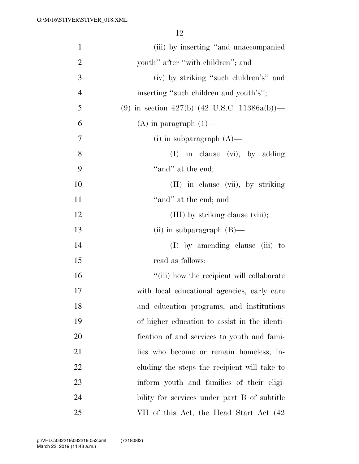| $\mathbf{1}$   | (iii) by inserting "and unaccompanied"       |
|----------------|----------------------------------------------|
| $\overline{2}$ | youth" after "with children"; and            |
| 3              | (iv) by striking "such children's" and       |
| $\overline{4}$ | inserting "such children and youth's";       |
| 5              | (9) in section 427(b) (42 U.S.C. 11386a(b))— |
| 6              | $(A)$ in paragraph $(1)$ —                   |
| $\overline{7}$ | (i) in subparagraph $(A)$ —                  |
| 8              | (I) in clause (vi), by adding                |
| 9              | "and" at the end;                            |
| 10             | (II) in clause (vii), by striking            |
| 11             | "and" at the end; and                        |
| 12             | (III) by striking clause (viii);             |
| 13             | (ii) in subparagraph $(B)$ —                 |
| 14             | $(I)$ by amending clause (iii) to            |
| 15             | read as follows:                             |
| 16             | "(iii) how the recipient will collaborate    |
| 17             | with local educational agencies, early care  |
| 18             | and education programs, and institutions     |
| 19             | of higher education to assist in the identi- |
| 20             | fication of and services to youth and fami-  |
| 21             | lies who become or remain homeless, in-      |
| 22             | cluding the steps the recipient will take to |
| 23             | inform youth and families of their eligi-    |
| 24             | bility for services under part B of subtitle |
| 25             | VII of this Act, the Head Start Act (42)     |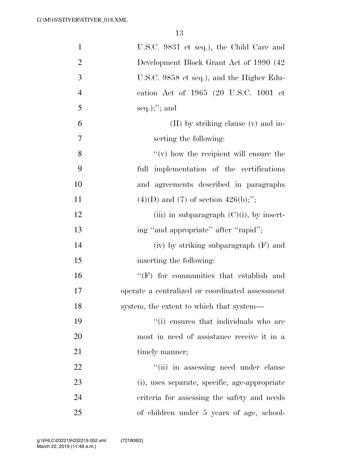| $\mathbf{1}$   | U.S.C. 9831 et seq.), the Child Care and        |
|----------------|-------------------------------------------------|
| $\overline{2}$ | Development Block Grant Act of 1990 (42)        |
| 3              | U.S.C. 9858 et seq.), and the Higher Edu-       |
| $\overline{4}$ | cation Act of 1965 (20 U.S.C. 1001 et           |
| 5              | $seq.$ ; and                                    |
| 6              | $(II)$ by striking clause $(v)$ and in-         |
| 7              | serting the following:                          |
| 8              | $f'(v)$ how the recipient will ensure the       |
| 9              | full implementation of the certifications       |
| 10             | and agreements described in paragraphs          |
| 11             | $(4)(D)$ and $(7)$ of section $426(b)$ ;";      |
| 12             | (iii) in subparagraph $(C)(i)$ , by insert-     |
| 13             | ing "and appropriate" after "rapid";            |
| 14             | (iv) by striking subparagraph (F) and           |
| 15             | inserting the following:                        |
| 16             | "(F) for communities that establish and         |
| 17             | operate a centralized or coordinated assessment |
| 18             | system, the extent to which that system—        |
| 19             | "(i) ensures that individuals who are           |
| 20             | most in need of assistance receive it in a      |
| 21             | timely manner;                                  |
| 22             | "(ii) in assessing need under clause            |
| 23             | (i), uses separate, specific, age-appropriate   |
| 24             | criteria for assessing the safety and needs     |
| 25             | of children under 5 years of age, school-       |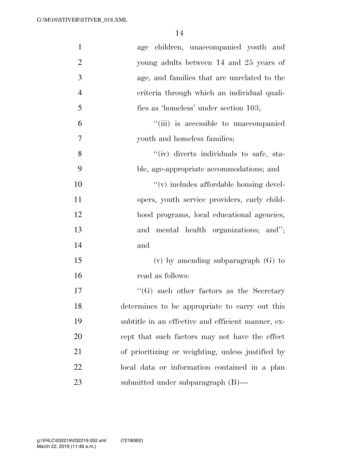| $\mathbf{1}$   | age children, unaccompanied youth and              |
|----------------|----------------------------------------------------|
| $\overline{2}$ | young adults between 14 and 25 years of            |
| 3              | age, and families that are unrelated to the        |
| $\overline{4}$ | criteria through which an individual quali-        |
| 5              | fies as 'homeless' under section 103;              |
| 6              | "(iii) is accessible to unaccompanied              |
| $\tau$         | youth and homeless families;                       |
| 8              | "(iv) diverts individuals to safe, sta-            |
| 9              | ble, age-appropriate accommodations; and           |
| 10             | "(v) includes affordable housing devel-            |
| 11             | opers, youth service providers, early child-       |
| 12             | hood programs, local educational agencies,         |
| 13             | and mental health organizations; and";             |
| 14             | and                                                |
| 15             | $(v)$ by amending subparagraph $(G)$ to            |
| 16             | read as follows:                                   |
| 17             | $\lq\lq(G)$ such other factors as the Secretary    |
| 18             | determines to be appropriate to carry out this     |
| 19             | subtitle in an effective and efficient manner, ex- |
| <b>20</b>      | cept that such factors may not have the effect     |
| 21             | of prioritizing or weighting, unless justified by  |
| 22             | local data or information contained in a plan      |
| 23             | submitted under subparagraph $(B)$ —               |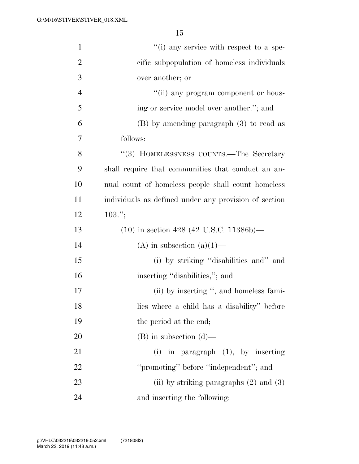| $\mathbf{1}$   | $f'(i)$ any service with respect to a spe-            |
|----------------|-------------------------------------------------------|
| $\overline{2}$ | cific subpopulation of homeless individuals           |
| 3              | over another; or                                      |
| $\overline{4}$ | "(ii) any program component or hous-                  |
| 5              | ing or service model over another."; and              |
| 6              | $(B)$ by amending paragraph $(3)$ to read as          |
| 7              | follows:                                              |
| 8              | "(3) HOMELESSNESS COUNTS.—The Secretary               |
| 9              | shall require that communities that conduct an an-    |
| 10             | nual count of homeless people shall count homeless    |
| 11             | individuals as defined under any provision of section |
| 12             | $103.$ ";                                             |
| 13             | $(10)$ in section 428 (42 U.S.C. 11386b)—             |
| 14             | (A) in subsection $(a)(1)$ —                          |
| 15             | (i) by striking "disabilities and" and                |
| 16             | inserting "disabilities,"; and                        |
| 17             | (ii) by inserting ", and homeless fami-               |
| 18             | lies where a child has a disability" before           |
| 19             | the period at the end;                                |
| 20             | $(B)$ in subsection $(d)$ —                           |
| 21             | $(i)$ in paragraph $(1)$ , by inserting               |
| 22             | "promoting" before "independent"; and                 |
| 23             | (ii) by striking paragraphs $(2)$ and $(3)$           |
| 24             | and inserting the following:                          |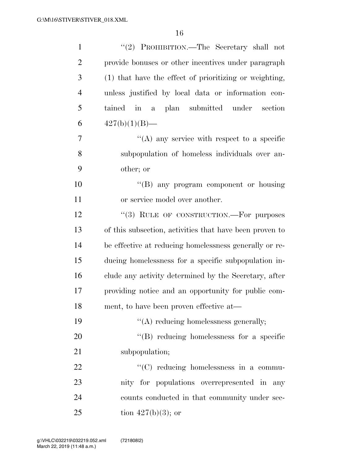| $\mathbf{1}$   | "(2) PROHIBITION.—The Secretary shall not               |
|----------------|---------------------------------------------------------|
| $\overline{2}$ | provide bonuses or other incentives under paragraph     |
| 3              | (1) that have the effect of prioritizing or weighting,  |
| $\overline{4}$ | unless justified by local data or information con-      |
| 5              | tained in a plan submitted under<br>section             |
| 6              | $427(b)(1)(B)$ —                                        |
| 7              | $\lq\lq$ any service with respect to a specific         |
| 8              | subpopulation of homeless individuals over an-          |
| 9              | other; or                                               |
| 10             | "(B) any program component or housing                   |
| 11             | or service model over another.                          |
| 12             | "(3) RULE OF CONSTRUCTION.—For purposes                 |
| 13             | of this subsection, activities that have been proven to |
| 14             | be effective at reducing homelessness generally or re-  |
| 15             | ducing homelessness for a specific subpopulation in-    |
| 16             | clude any activity determined by the Secretary, after   |
| 17             | providing notice and an opportunity for public com-     |
| 18             | ment, to have been proven effective at-                 |
| 19             | $\lq\lq$ reducing homelessness generally;               |
| 20             | $\lq\lq$ reducing homelessness for a specific           |
| 21             | subpopulation;                                          |
| 22             | "(C) reducing homelessness in a commu-                  |
| 23             | nity for populations overrepresented in any             |
| 24             | counts conducted in that community under sec-           |
| 25             | tion $427(b)(3)$ ; or                                   |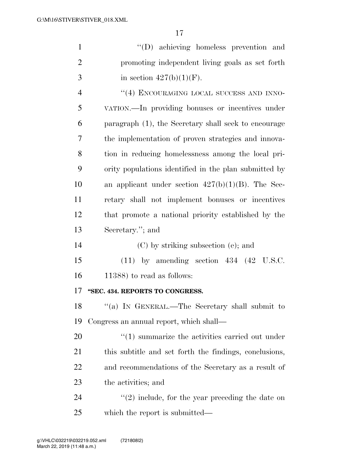|               | $\lq\lq$ (D) achieving homeless prevention and  |
|---------------|-------------------------------------------------|
| $\mathcal{L}$ | promoting independent living goals as set forth |
| $\mathcal{R}$ | in section $427(b)(1)(F)$ .                     |

4 "(4) ENCOURAGING LOCAL SUCCESS AND INNO- VATION.—In providing bonuses or incentives under paragraph (1), the Secretary shall seek to encourage the implementation of proven strategies and innova- tion in reducing homelessness among the local pri- ority populations identified in the plan submitted by 10 an applicant under section  $427(b)(1)(B)$ . The Sec- retary shall not implement bonuses or incentives that promote a national priority established by the Secretary.''; and

(C) by striking subsection (e); and

 (11) by amending section 434 (42 U.S.C. 11388) to read as follows:

## **''SEC. 434. REPORTS TO CONGRESS.**

 ''(a) IN GENERAL.—The Secretary shall submit to Congress an annual report, which shall—

 $\frac{1}{20}$  (1) summarize the activities carried out under this subtitle and set forth the findings, conclusions, and recommendations of the Secretary as a result of the activities; and

24  $(2)$  include, for the year preceding the date on which the report is submitted